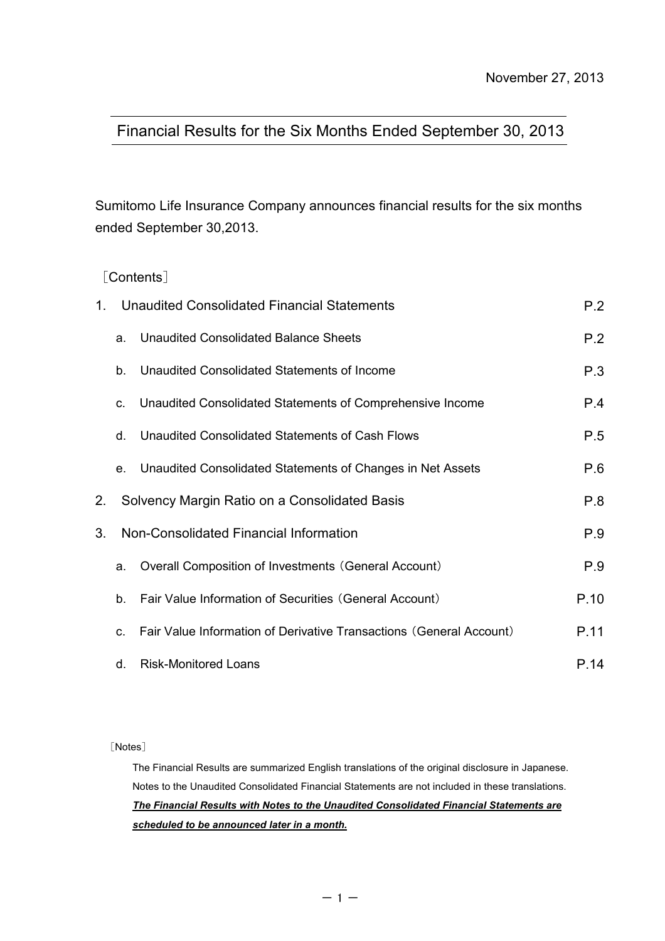# Financial Results for the Six Months Ended September 30, 2013

Sumitomo Life Insurance Company announces financial results for the six months ended September 30,2013.

# [Contents]

| 1. |             | <b>Unaudited Consolidated Financial Statements</b>                  | P.2  |
|----|-------------|---------------------------------------------------------------------|------|
|    | a.          | P.2                                                                 |      |
|    | b.          | Unaudited Consolidated Statements of Income                         | P.3  |
|    | C.          | Unaudited Consolidated Statements of Comprehensive Income           | P.4  |
|    | d.          | Unaudited Consolidated Statements of Cash Flows                     | P.5  |
|    | e.          | Unaudited Consolidated Statements of Changes in Net Assets          | P.6  |
| 2. |             | Solvency Margin Ratio on a Consolidated Basis                       | P.8  |
| 3. |             | Non-Consolidated Financial Information                              | P.9  |
|    | a.          | Overall Composition of Investments (General Account)                | P.9  |
|    | $b_{\cdot}$ | Fair Value Information of Securities (General Account)              | P.10 |
|    | $C_{\cdot}$ | Fair Value Information of Derivative Transactions (General Account) | P.11 |
|    | d.          | <b>Risk-Monitored Loans</b>                                         | P.14 |

[Notes]

*scheduled to be announced later in a month.* The Financial Results are summarized English translations of the original disclosure in Japanese. Notes to the Unaudited Consolidated Financial Statements are not included in these translations. *The Financial Results with Notes to the Unaudited Consolidated Financial Statements are*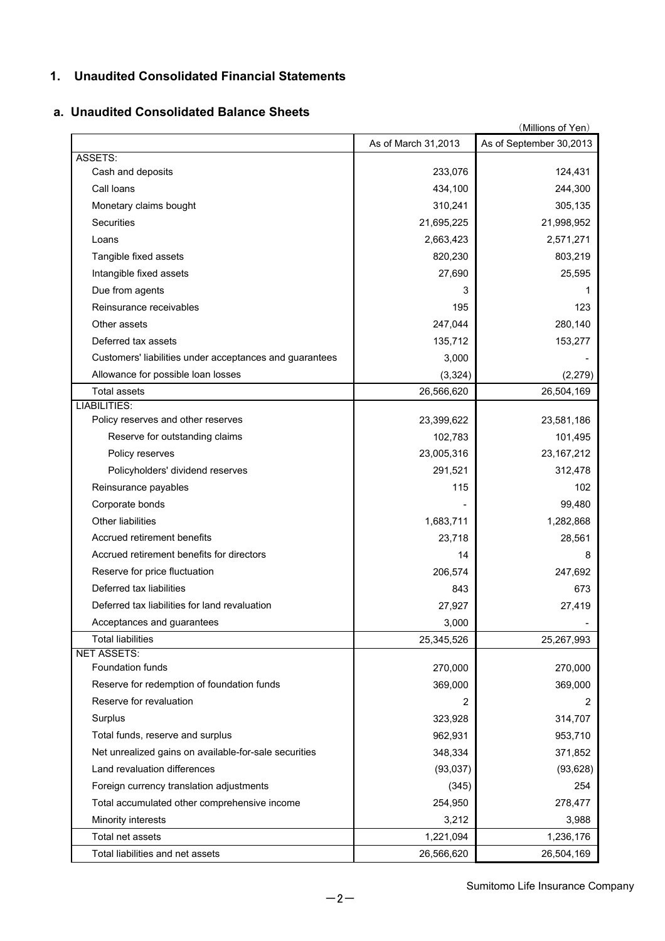# **1. Unaudited Consolidated Financial Statements**

#### **a. Unaudited Consolidated Balance Sheets**

|                                                         |                     | (Millions of Yen)       |
|---------------------------------------------------------|---------------------|-------------------------|
|                                                         | As of March 31,2013 | As of September 30,2013 |
| ASSETS:                                                 |                     |                         |
| Cash and deposits                                       | 233,076             | 124,431                 |
| Call loans                                              | 434,100             | 244,300                 |
| Monetary claims bought                                  | 310,241             | 305,135                 |
| <b>Securities</b>                                       | 21,695,225          | 21,998,952              |
| Loans                                                   | 2,663,423           | 2,571,271               |
| Tangible fixed assets                                   | 820,230             | 803,219                 |
| Intangible fixed assets                                 | 27,690              | 25,595                  |
| Due from agents                                         | 3                   | 1                       |
| Reinsurance receivables                                 | 195                 | 123                     |
| Other assets                                            | 247,044             | 280,140                 |
| Deferred tax assets                                     | 135,712             | 153,277                 |
| Customers' liabilities under acceptances and guarantees | 3,000               |                         |
| Allowance for possible loan losses                      | (3, 324)            | (2, 279)                |
| <b>Total assets</b>                                     | 26,566,620          | 26,504,169              |
| <b>LIABILITIES:</b>                                     |                     |                         |
| Policy reserves and other reserves                      | 23,399,622          | 23,581,186              |
| Reserve for outstanding claims                          | 102,783             | 101,495                 |
| Policy reserves                                         | 23,005,316          | 23, 167, 212            |
| Policyholders' dividend reserves                        | 291,521             | 312,478                 |
| Reinsurance payables                                    | 115                 | 102                     |
| Corporate bonds                                         |                     | 99,480                  |
| Other liabilities                                       | 1,683,711           | 1,282,868               |
| Accrued retirement benefits                             | 23,718              | 28,561                  |
| Accrued retirement benefits for directors               | 14                  | 8                       |
| Reserve for price fluctuation                           | 206,574             | 247,692                 |
| Deferred tax liabilities                                | 843                 | 673                     |
| Deferred tax liabilities for land revaluation           | 27,927              | 27,419                  |
| Acceptances and guarantees                              | 3,000               |                         |
| <b>Total liabilities</b>                                | 25,345,526          | 25,267,993              |
| <b>NET ASSETS:</b>                                      |                     |                         |
| Foundation funds                                        | 270,000             | 270,000                 |
| Reserve for redemption of foundation funds              | 369,000             | 369,000                 |
| Reserve for revaluation                                 | 2                   | 2                       |
| Surplus                                                 | 323,928             | 314,707                 |
| Total funds, reserve and surplus                        | 962,931             | 953,710                 |
| Net unrealized gains on available-for-sale securities   | 348,334             | 371,852                 |
| Land revaluation differences                            | (93, 037)           | (93, 628)               |
| Foreign currency translation adjustments                | (345)               | 254                     |
| Total accumulated other comprehensive income            | 254,950             | 278,477                 |
| Minority interests                                      | 3,212               | 3,988                   |
| Total net assets                                        | 1,221,094           | 1,236,176               |
| Total liabilities and net assets                        | 26,566,620          | 26,504,169              |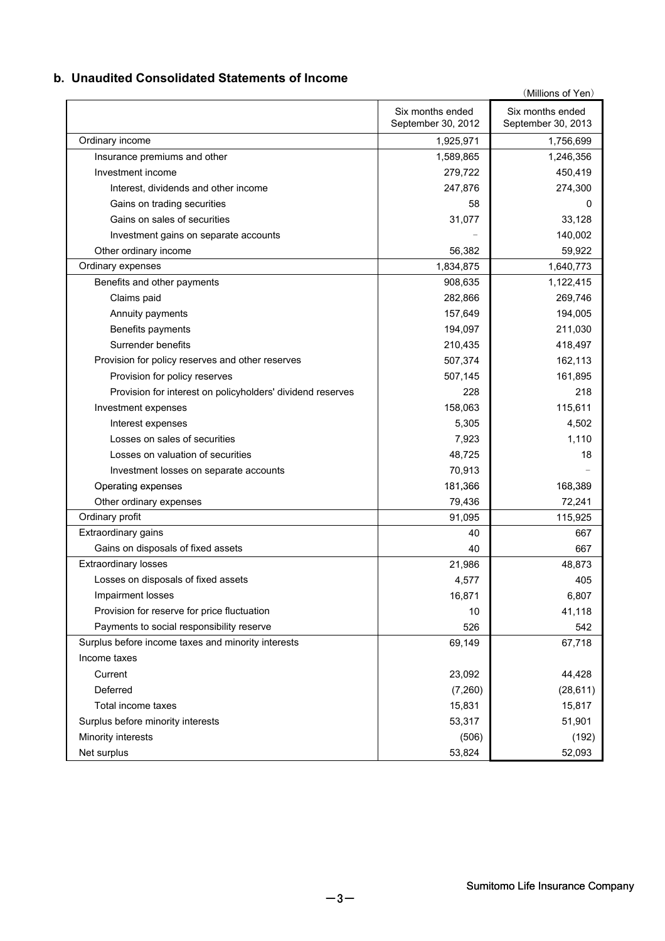## **b. Unaudited Consolidated Statements of Income**

|                                                            | Six months ended   | (Millions of Yen)<br>Six months ended |
|------------------------------------------------------------|--------------------|---------------------------------------|
|                                                            | September 30, 2012 | September 30, 2013                    |
| Ordinary income                                            | 1,925,971          | 1,756,699                             |
| Insurance premiums and other                               | 1,589,865          | 1,246,356                             |
| Investment income                                          | 279,722            | 450,419                               |
| Interest, dividends and other income                       | 247,876            | 274,300                               |
| Gains on trading securities                                | 58                 | 0                                     |
| Gains on sales of securities                               | 31,077             | 33,128                                |
| Investment gains on separate accounts                      |                    | 140,002                               |
| Other ordinary income                                      | 56,382             | 59,922                                |
| Ordinary expenses                                          | 1,834,875          | 1,640,773                             |
| Benefits and other payments                                | 908,635            | 1,122,415                             |
| Claims paid                                                | 282,866            | 269,746                               |
| Annuity payments                                           | 157,649            | 194,005                               |
| Benefits payments                                          | 194,097            | 211,030                               |
| Surrender benefits                                         | 210,435            | 418,497                               |
| Provision for policy reserves and other reserves           | 507,374            | 162,113                               |
| Provision for policy reserves                              | 507,145            | 161,895                               |
| Provision for interest on policyholders' dividend reserves | 228                | 218                                   |
| Investment expenses                                        | 158,063            | 115,611                               |
| Interest expenses                                          | 5,305              | 4,502                                 |
| Losses on sales of securities                              | 7,923              | 1,110                                 |
| Losses on valuation of securities                          | 48,725             | 18                                    |
| Investment losses on separate accounts                     | 70,913             |                                       |
| Operating expenses                                         | 181,366            | 168,389                               |
| Other ordinary expenses                                    | 79,436             | 72,241                                |
| Ordinary profit                                            | 91,095             | 115,925                               |
| Extraordinary gains                                        | 40                 | 667                                   |
| Gains on disposals of fixed assets                         | 40                 | 667                                   |
| <b>Extraordinary losses</b>                                | 21,986             | 48,873                                |
| Losses on disposals of fixed assets                        | 4,577              | 405                                   |
| Impairment losses                                          | 16,871             | 6,807                                 |
| Provision for reserve for price fluctuation                | 10                 | 41,118                                |
| Payments to social responsibility reserve                  | 526                | 542                                   |
| Surplus before income taxes and minority interests         | 69,149             | 67,718                                |
| Income taxes                                               |                    |                                       |
| Current                                                    | 23,092             | 44,428                                |
| Deferred                                                   | (7,260)            | (28, 611)                             |
| Total income taxes                                         | 15,831             | 15,817                                |
| Surplus before minority interests                          | 53,317             | 51,901                                |
| Minority interests                                         | (506)              | (192)                                 |
| Net surplus                                                | 53,824             | 52,093                                |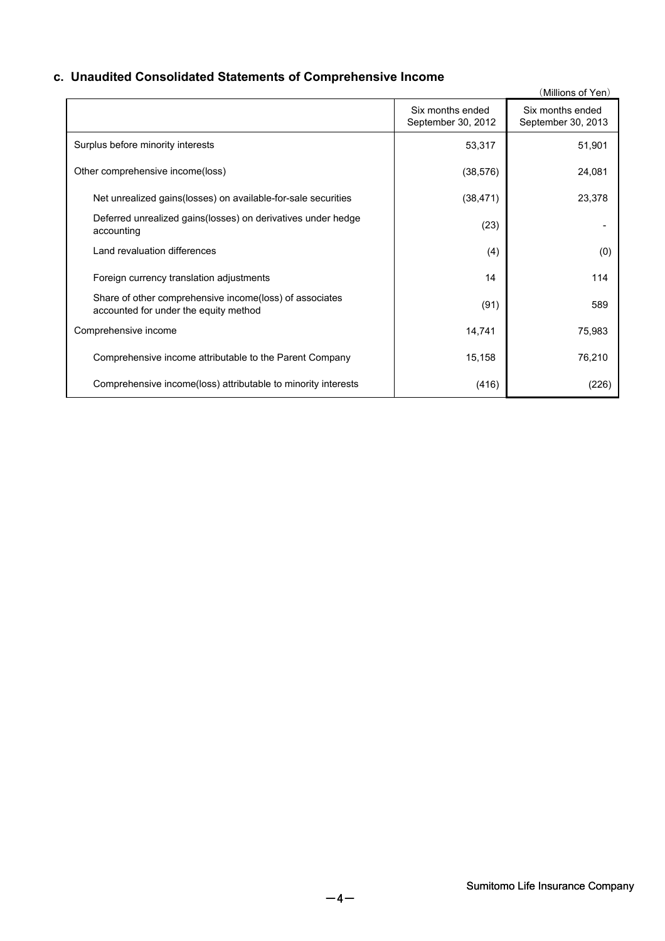# **c. Unaudited Consolidated Statements of Comprehensive Income**

|                                                                                                  |                                        | (Millions of Yen)                      |
|--------------------------------------------------------------------------------------------------|----------------------------------------|----------------------------------------|
|                                                                                                  | Six months ended<br>September 30, 2012 | Six months ended<br>September 30, 2013 |
| Surplus before minority interests                                                                | 53,317                                 | 51,901                                 |
| Other comprehensive income(loss)                                                                 | (38, 576)                              | 24,081                                 |
| Net unrealized gains (losses) on available-for-sale securities                                   | (38, 471)                              | 23,378                                 |
| Deferred unrealized gains (losses) on derivatives under hedge<br>accounting                      | (23)                                   |                                        |
| Land revaluation differences                                                                     | (4)                                    | (0)                                    |
| Foreign currency translation adjustments                                                         | 14                                     | 114                                    |
| Share of other comprehensive income(loss) of associates<br>accounted for under the equity method | (91)                                   | 589                                    |
| Comprehensive income                                                                             | 14,741                                 | 75,983                                 |
| Comprehensive income attributable to the Parent Company                                          | 15,158                                 | 76,210                                 |
| Comprehensive income (loss) attributable to minority interests                                   | (416)                                  | (226)                                  |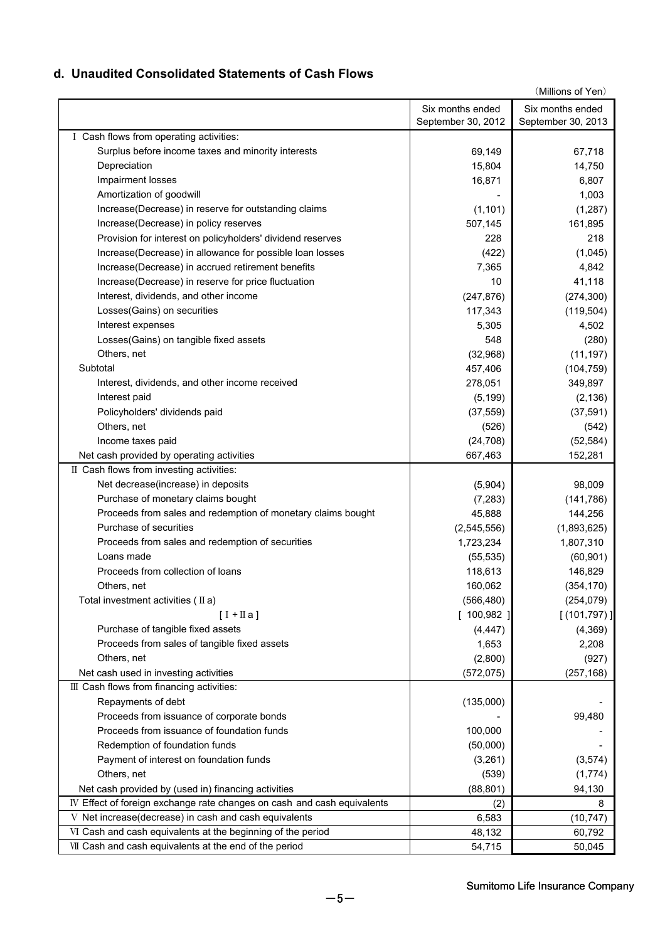# **d. Unaudited Consolidated Statements of Cash Flows**

| (Millions of Yen)                                                       |                                        |                                        |  |
|-------------------------------------------------------------------------|----------------------------------------|----------------------------------------|--|
|                                                                         | Six months ended<br>September 30, 2012 | Six months ended<br>September 30, 2013 |  |
| I Cash flows from operating activities:                                 |                                        |                                        |  |
| Surplus before income taxes and minority interests                      | 69,149                                 | 67,718                                 |  |
| Depreciation                                                            | 15,804                                 | 14,750                                 |  |
| Impairment losses                                                       | 16,871                                 | 6,807                                  |  |
| Amortization of goodwill                                                |                                        | 1,003                                  |  |
| Increase(Decrease) in reserve for outstanding claims                    | (1, 101)                               | (1, 287)                               |  |
| Increase(Decrease) in policy reserves                                   | 507,145                                | 161,895                                |  |
| Provision for interest on policyholders' dividend reserves              | 228                                    | 218                                    |  |
| Increase(Decrease) in allowance for possible loan losses                | (422)                                  | (1,045)                                |  |
| Increase(Decrease) in accrued retirement benefits                       | 7,365                                  | 4,842                                  |  |
| Increase(Decrease) in reserve for price fluctuation                     | 10                                     | 41,118                                 |  |
| Interest, dividends, and other income                                   | (247, 876)                             | (274, 300)                             |  |
| Losses (Gains) on securities                                            | 117,343                                | (119, 504)                             |  |
| Interest expenses                                                       | 5,305                                  | 4,502                                  |  |
| Losses(Gains) on tangible fixed assets                                  | 548                                    | (280)                                  |  |
| Others, net                                                             | (32,968)                               | (11, 197)                              |  |
| Subtotal                                                                | 457,406                                | (104, 759)                             |  |
| Interest, dividends, and other income received                          | 278,051                                | 349,897                                |  |
| Interest paid                                                           | (5, 199)                               | (2, 136)                               |  |
| Policyholders' dividends paid                                           | (37, 559)                              | (37, 591)                              |  |
| Others, net                                                             | (526)                                  | (542)                                  |  |
| Income taxes paid                                                       | (24, 708)                              | (52, 584)                              |  |
| Net cash provided by operating activities                               | 667,463                                | 152,281                                |  |
| II Cash flows from investing activities:                                |                                        |                                        |  |
| Net decrease(increase) in deposits                                      | (5,904)                                | 98,009                                 |  |
| Purchase of monetary claims bought                                      | (7, 283)                               | (141, 786)                             |  |
| Proceeds from sales and redemption of monetary claims bought            | 45,888                                 | 144,256                                |  |
| Purchase of securities                                                  | (2,545,556)                            | (1,893,625)                            |  |
| Proceeds from sales and redemption of securities                        | 1,723,234                              | 1,807,310                              |  |
| Loans made                                                              | (55, 535)                              | (60, 901)                              |  |
| Proceeds from collection of loans                                       | 118,613                                | 146,829                                |  |
| Others, net                                                             | 160,062                                | (354, 170)                             |  |
| Total investment activities $(IIa)$                                     | (566, 480)                             | (254, 079)                             |  |
| $[I + \Pi a]$                                                           | [100,982]                              | [(101, 797)]                           |  |
| Purchase of tangible fixed assets                                       | (4, 447)                               | (4, 369)                               |  |
| Proceeds from sales of tangible fixed assets                            | 1,653                                  | 2,208                                  |  |
| Others, net                                                             | (2,800)                                | (927)                                  |  |
| Net cash used in investing activities                                   | (572, 075)                             | (257, 168)                             |  |
| III Cash flows from financing activities:                               |                                        |                                        |  |
| Repayments of debt                                                      | (135,000)                              |                                        |  |
| Proceeds from issuance of corporate bonds                               |                                        | 99,480                                 |  |
| Proceeds from issuance of foundation funds                              | 100,000                                |                                        |  |
| Redemption of foundation funds                                          | (50,000)                               |                                        |  |
| Payment of interest on foundation funds                                 | (3,261)                                | (3, 574)                               |  |
| Others, net                                                             | (539)                                  | (1,774)                                |  |
| Net cash provided by (used in) financing activities                     | (88, 801)                              | 94,130                                 |  |
| IV Effect of foreign exchange rate changes on cash and cash equivalents | (2)                                    | 8                                      |  |
| V Net increase(decrease) in cash and cash equivalents                   | 6,583                                  | (10, 747)                              |  |
| VI Cash and cash equivalents at the beginning of the period             | 48,132                                 | 60,792                                 |  |
| VII Cash and cash equivalents at the end of the period                  | 54,715                                 | 50,045                                 |  |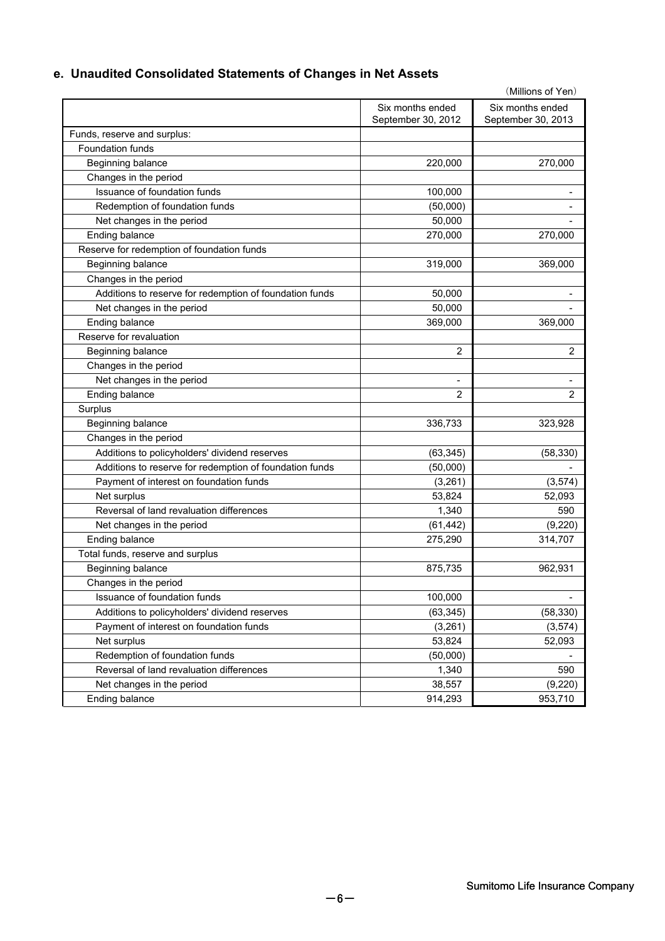# **e. Unaudited Consolidated Statements of Changes in Net Assets**

| (Millions of Yen)                                       |                          |                    |  |  |
|---------------------------------------------------------|--------------------------|--------------------|--|--|
|                                                         | Six months ended         | Six months ended   |  |  |
|                                                         | September 30, 2012       | September 30, 2013 |  |  |
| Funds, reserve and surplus:                             |                          |                    |  |  |
| Foundation funds                                        |                          |                    |  |  |
| Beginning balance                                       | 220,000                  | 270,000            |  |  |
| Changes in the period                                   |                          |                    |  |  |
| Issuance of foundation funds                            | 100,000                  |                    |  |  |
| Redemption of foundation funds                          | (50,000)                 |                    |  |  |
| Net changes in the period                               | 50,000                   |                    |  |  |
| Ending balance                                          | 270,000                  | 270,000            |  |  |
| Reserve for redemption of foundation funds              |                          |                    |  |  |
| Beginning balance                                       | 319,000                  | 369,000            |  |  |
| Changes in the period                                   |                          |                    |  |  |
| Additions to reserve for redemption of foundation funds | 50,000                   |                    |  |  |
| Net changes in the period                               | 50,000                   |                    |  |  |
| Ending balance                                          | 369,000                  | 369,000            |  |  |
| Reserve for revaluation                                 |                          |                    |  |  |
| Beginning balance                                       | 2                        | 2                  |  |  |
| Changes in the period                                   |                          |                    |  |  |
| Net changes in the period                               | $\overline{\phantom{a}}$ |                    |  |  |
| Ending balance                                          | 2                        | 2                  |  |  |
| Surplus                                                 |                          |                    |  |  |
| Beginning balance                                       | 336,733                  | 323,928            |  |  |
| Changes in the period                                   |                          |                    |  |  |
| Additions to policyholders' dividend reserves           | (63, 345)                | (58, 330)          |  |  |
| Additions to reserve for redemption of foundation funds | (50,000)                 |                    |  |  |
| Payment of interest on foundation funds                 | (3,261)                  | (3, 574)           |  |  |
| Net surplus                                             | 53,824                   | 52,093             |  |  |
| Reversal of land revaluation differences                | 1,340                    | 590                |  |  |
| Net changes in the period                               | (61, 442)                | (9, 220)           |  |  |
| Ending balance                                          | 275,290                  | 314,707            |  |  |
| Total funds, reserve and surplus                        |                          |                    |  |  |
| Beginning balance                                       | 875,735                  | 962,931            |  |  |
| Changes in the period                                   |                          |                    |  |  |
| Issuance of foundation funds                            | 100,000                  |                    |  |  |
| Additions to policyholders' dividend reserves           | (63, 345)                | (58, 330)          |  |  |
| Payment of interest on foundation funds                 | (3,261)                  | (3, 574)           |  |  |
| Net surplus                                             | 53,824                   | 52,093             |  |  |
| Redemption of foundation funds                          | (50,000)                 |                    |  |  |
| Reversal of land revaluation differences                | 1,340                    | 590                |  |  |
| Net changes in the period                               | 38,557                   | (9,220)            |  |  |
| Ending balance                                          | 914,293                  | 953,710            |  |  |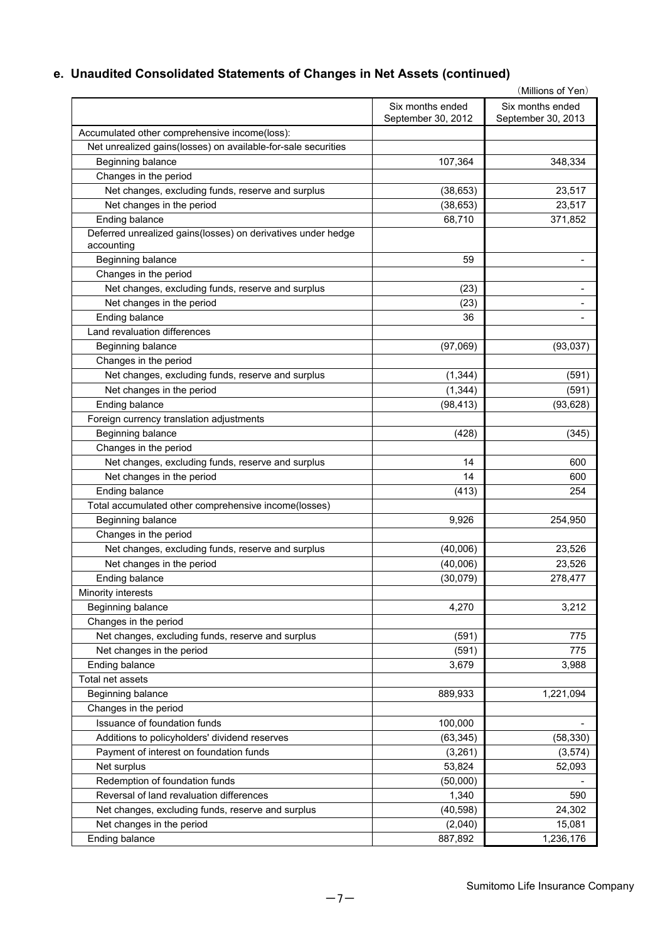# **e. Unaudited Consolidated Statements of Changes in Net Assets (continued)**

|                                                                            |                                        | (Millions of Yen)                      |
|----------------------------------------------------------------------------|----------------------------------------|----------------------------------------|
|                                                                            | Six months ended<br>September 30, 2012 | Six months ended<br>September 30, 2013 |
| Accumulated other comprehensive income(loss):                              |                                        |                                        |
| Net unrealized gains(losses) on available-for-sale securities              |                                        |                                        |
| Beginning balance                                                          | 107,364                                | 348,334                                |
| Changes in the period                                                      |                                        |                                        |
| Net changes, excluding funds, reserve and surplus                          | (38, 653)                              | 23,517                                 |
| Net changes in the period                                                  | (38, 653)                              | 23,517                                 |
| Ending balance                                                             | 68,710                                 | 371,852                                |
| Deferred unrealized gains(losses) on derivatives under hedge<br>accounting |                                        |                                        |
| Beginning balance                                                          | 59                                     |                                        |
| Changes in the period                                                      |                                        |                                        |
| Net changes, excluding funds, reserve and surplus                          | (23)                                   | -                                      |
| Net changes in the period                                                  | (23)                                   |                                        |
| Ending balance                                                             | 36                                     |                                        |
| Land revaluation differences                                               |                                        |                                        |
| Beginning balance                                                          | (97,069)                               | (93,037)                               |
| Changes in the period                                                      |                                        |                                        |
| Net changes, excluding funds, reserve and surplus                          | (1, 344)                               | (591)                                  |
| Net changes in the period                                                  | (1, 344)                               | (591)                                  |
| Ending balance                                                             | (98, 413)                              | (93, 628)                              |
| Foreign currency translation adjustments                                   |                                        |                                        |
| Beginning balance                                                          | (428)                                  | (345)                                  |
| Changes in the period                                                      |                                        |                                        |
| Net changes, excluding funds, reserve and surplus                          | 14                                     | 600                                    |
| Net changes in the period                                                  | 14                                     | 600                                    |
| Ending balance                                                             | (413)                                  | 254                                    |
| Total accumulated other comprehensive income(losses)                       |                                        |                                        |
| Beginning balance                                                          | 9,926                                  | 254,950                                |
| Changes in the period                                                      |                                        |                                        |
| Net changes, excluding funds, reserve and surplus                          | (40,006)                               | 23,526                                 |
| Net changes in the period                                                  | (40,006)                               | 23,526                                 |
| Ending balance                                                             | (30,079)                               | 278,477                                |
| Minority interests                                                         |                                        |                                        |
| Beginning balance                                                          | 4,270                                  | 3,212                                  |
| Changes in the period                                                      |                                        |                                        |
| Net changes, excluding funds, reserve and surplus                          | (591)                                  | 775                                    |
| Net changes in the period                                                  | (591)                                  | 775                                    |
| Ending balance                                                             | 3,679                                  | 3,988                                  |
| Total net assets                                                           |                                        |                                        |
|                                                                            |                                        |                                        |
| Beginning balance                                                          | 889,933                                | 1,221,094                              |
| Changes in the period                                                      |                                        |                                        |
| Issuance of foundation funds                                               | 100,000                                |                                        |
| Additions to policyholders' dividend reserves                              | (63, 345)                              | (58, 330)                              |
| Payment of interest on foundation funds                                    | (3,261)                                | (3,574)                                |
| Net surplus                                                                | 53,824                                 | 52,093                                 |
| Redemption of foundation funds                                             | (50,000)                               |                                        |
| Reversal of land revaluation differences                                   | 1,340                                  | 590                                    |
| Net changes, excluding funds, reserve and surplus                          | (40, 598)                              | 24,302                                 |
| Net changes in the period                                                  | (2,040)                                | 15,081                                 |
| Ending balance                                                             | 887,892                                | 1,236,176                              |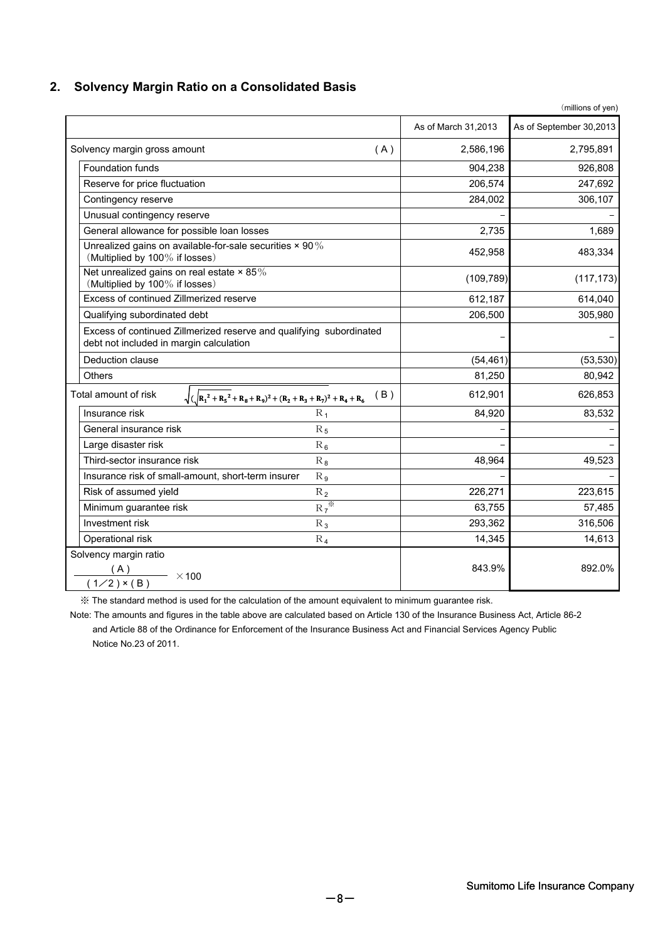# **2. Solvency Margin Ratio on a Consolidated Basis**

|                                                                                                                |                     | (millions of yen)       |
|----------------------------------------------------------------------------------------------------------------|---------------------|-------------------------|
|                                                                                                                | As of March 31,2013 | As of September 30,2013 |
| Solvency margin gross amount<br>(A)                                                                            | 2,586,196           | 2,795,891               |
| <b>Foundation funds</b>                                                                                        | 904,238             | 926,808                 |
| Reserve for price fluctuation                                                                                  | 206,574             | 247,692                 |
| Contingency reserve                                                                                            | 284,002             | 306,107                 |
| Unusual contingency reserve                                                                                    |                     |                         |
| General allowance for possible loan losses                                                                     | 2,735               | 1,689                   |
| Unrealized gains on available-for-sale securities × 90%<br>(Multiplied by 100% if losses)                      | 452,958             | 483,334                 |
| Net unrealized gains on real estate × 85%<br>(Multiplied by 100% if losses)                                    | (109, 789)          | (117, 173)              |
| Excess of continued Zillmerized reserve                                                                        | 612,187             | 614,040                 |
| Qualifying subordinated debt                                                                                   | 206,500             | 305,980                 |
| Excess of continued Zillmerized reserve and qualifying subordinated<br>debt not included in margin calculation |                     |                         |
| Deduction clause                                                                                               | (54, 461)           | (53, 530)               |
| Others                                                                                                         | 81,250              | 80,942                  |
| Total amount of risk<br>(B)<br>$\sqrt{(R_1^2+R_5^2+R_8+R_9)^2+(R_2+R_3+R_7)^2+R_4+R_6}$                        | 612,901             | 626,853                 |
| Insurance risk<br>$R_1$                                                                                        | 84,920              | 83,532                  |
| General insurance risk<br>$R_5$                                                                                |                     |                         |
| Large disaster risk<br>$R_6$                                                                                   |                     |                         |
| Third-sector insurance risk<br>$R_8$                                                                           | 48,964              | 49,523                  |
| Insurance risk of small-amount, short-term insurer<br>$R_{9}$                                                  |                     |                         |
| $R_2$<br>Risk of assumed yield                                                                                 | 226,271             | 223,615                 |
| $R_7^*$<br>Minimum guarantee risk                                                                              | 63,755              | 57,485                  |
| Investment risk<br>$R_3$                                                                                       | 293,362             | 316,506                 |
| Operational risk<br>$R_4$                                                                                      | 14,345              | 14,613                  |
| Solvency margin ratio<br>$\frac{(A)}{(1/2) \times (B)}$ × 100                                                  | 843.9%              | 892.0%                  |

※ The standard method is used for the calculation of the amount equivalent to minimum guarantee risk.

 Note: The amounts and figures in the table above are calculated based on Article 130 of the Insurance Business Act, Article 86-2 and Article 88 of the Ordinance for Enforcement of the Insurance Business Act and Financial Services Agency Public Notice No.23 of 2011.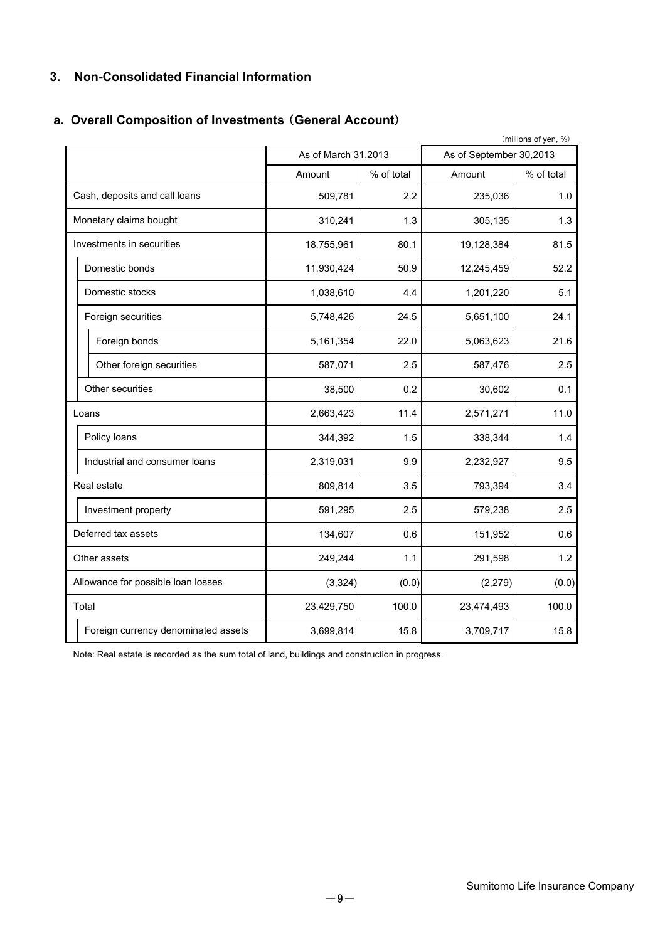### **3. Non-Consolidated Financial Information**

# **a. Overall Composition of Investments** (**General Account**)

| (millions of yen, %)      |                                     |                     |            |                         |            |
|---------------------------|-------------------------------------|---------------------|------------|-------------------------|------------|
|                           |                                     | As of March 31,2013 |            | As of September 30,2013 |            |
|                           |                                     | Amount              | % of total | Amount                  | % of total |
|                           | Cash, deposits and call loans       | 509,781             | 2.2        | 235,036                 | 1.0        |
| Monetary claims bought    |                                     | 310,241             | 1.3        | 305,135                 | 1.3        |
| Investments in securities |                                     | 18,755,961          | 80.1       | 19,128,384              | 81.5       |
|                           | Domestic bonds                      | 11,930,424          | 50.9       | 12,245,459              | 52.2       |
|                           | Domestic stocks                     | 1,038,610           | 4.4        | 1,201,220               | 5.1        |
|                           | Foreign securities                  | 5,748,426           | 24.5       | 5,651,100               | 24.1       |
|                           | Foreign bonds                       | 5,161,354           | 22.0       | 5,063,623               | 21.6       |
|                           | Other foreign securities            | 587,071             | 2.5        | 587,476                 | 2.5        |
|                           | Other securities                    | 38,500              | 0.2        | 30,602                  | 0.1        |
|                           | Loans                               | 2,663,423           | 11.4       | 2,571,271               | 11.0       |
|                           | Policy loans                        | 344,392             | 1.5        | 338,344                 | 1.4        |
|                           | Industrial and consumer loans       | 2,319,031           | 9.9        | 2,232,927               | 9.5        |
|                           | Real estate                         | 809,814             | 3.5        | 793,394                 | 3.4        |
|                           | Investment property                 | 591,295             | 2.5        | 579,238                 | 2.5        |
|                           | Deferred tax assets                 | 134,607             | 0.6        | 151,952                 | 0.6        |
|                           | Other assets                        | 249,244             | 1.1        | 291,598                 | 1.2        |
|                           | Allowance for possible loan losses  | (3, 324)            | (0.0)      | (2, 279)                | (0.0)      |
|                           | Total                               | 23,429,750          | 100.0      | 23,474,493              | 100.0      |
|                           | Foreign currency denominated assets | 3,699,814           | 15.8       | 3,709,717               | 15.8       |

Note: Real estate is recorded as the sum total of land, buildings and construction in progress.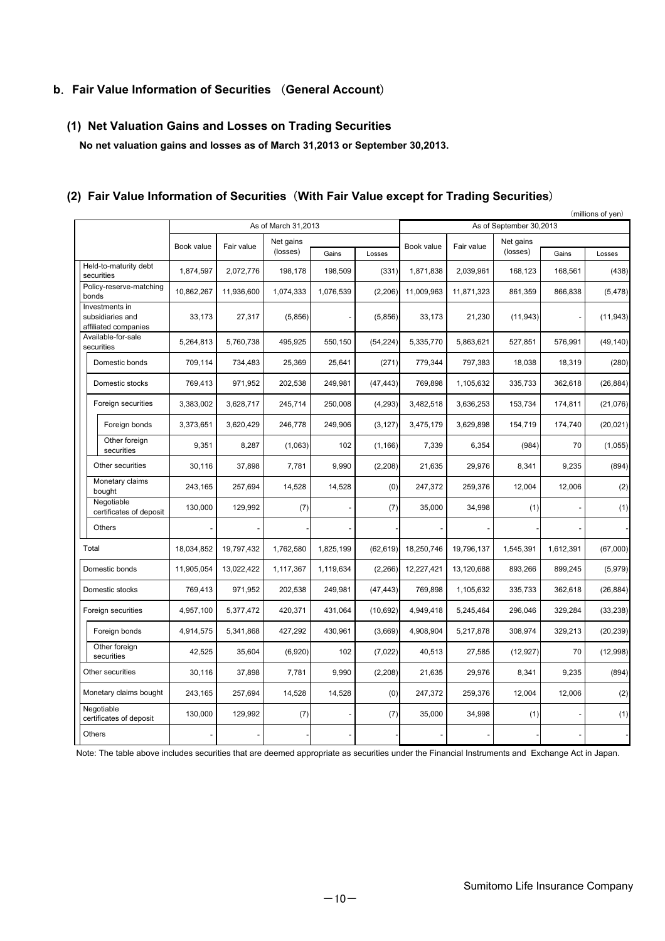#### **b**.**Fair Value Information of Securities** (**General Account**)

#### **(1) Net Valuation Gains and Losses on Trading Securities**

 **No net valuation gains and losses as of March 31,2013 or September 30,2013.**

#### (millions of yen) Gains | Losses | | | | | | | | | | | | | Gains | Losses 1,874,597 2,072,776 198,178 198,509 (331) 1,871,838 2,039,961 168,123 168,561 (438) 10,862,267 11,936,600 1,074,333 1,076,539 (2,206) 11,009,963 11,871,323 861,359 866,838 (5,478) 27,317 33,173 (5,856) - (5,856) 33,173 21,230 (11,943) - (11,943) 5,264,813 5,760,738 495,925 550,150 (54,224) 5,335,770 5,863,621 527,851 576,991 (49,140) 709,114 734,483 25,369 25,641 (271) 779,344 797,383 18,038 18,319 (280) 769,413 971,952 202,538 249,981 (47,443) 769,898 1,105,632 335,733 362,618 (26,884) 3,383,002 3,628,717 245,714 250,008 (4,293) 3,482,518 3,636,253 153,734 174,811 (21,076) Foreign bonds 3,373,651 3,620,429 246,778 249,906 (3,127) 3,475,179 3,629,898 154,719 174,740 (20,021) Other foreign securities | 9,351 8,287 (1,063) 102 (1,166) 7,339 6,354 (984) 70 (1,055) 30,116 37,898 7,781 9,990 (2,208) 21,635 29,976 8,341 9,235 (894) 243,165 257,694 14,528 14,528 (0) 247,372 259,376 12,004 12,006 (2) 129,992 130,000 (7) - (7) 35,000 34,998 (1) - (1) - - - - - - - - - - 18,034,852 19,797,432 1,762,580 1,825,199 (62,619) 18,250,746 19,796,137 1,545,391 1,612,391 (67,000) 11,905,054 13,022,422 1,117,367 1,119,634 (2,266) 12,227,421 13,120,688 893,266 899,245 (5,979) 769,413 971,952 202,538 249,981 (47,443) 769,898 1,105,632 335,733 362,618 (26,884) 4,957,100 | 5,377,472 | 420,371 | 431,064 | (10,692) | 4,949,418 | 5,245,464 | 296,046 | 329,284 | (33,238) 4,914,575 | 5,341,868 | 427,292 | 430,961 | (3,669) | 4,908,904 | 5,217,878 | 308,974 | 329,213 | (20,239) 42,525 35,604 (6,920) 102 (7,022) 40,513 27,585 (12,927) 70 (12,998) 30,116 37,898 7,781 9,990 (2,208) 21,635 29,976 8,341 9,235 (894) 243,165 257,694 14,528 14,528 (0) 247,372 259,376 12,004 12,006 (2) 129,992 130,000 (7) - (7) 35,000 34,998 (1) - (1) - - - - - - - - - - Monetary claims bought Negotiable certificates of deposit Domestic stocks **Others** Foreign bonds Other foreign securities Total Held-to-maturity debt securities Policy-reserve-matching bonds Investments in subsidiaries and affiliated companies Other securities Domestic bonds Domestic stocks Foreign securities Negotiable certificates of deposit Monetary claims bought Foreign securities Other securities Domestic bonds Book value **Others** Available-for-sale securities As of March 31,2013 As of September 30,2013 Fair value Net gains (losses) Net gains Net gains<br>(losses) Gains Losses Book value Fair value

#### **(2) Fair Value Information of Securities**(**With Fair Value except for Trading Securities**)

Note: The table above includes securities that are deemed appropriate as securities under the Financial Instruments and Exchange Act in Japan.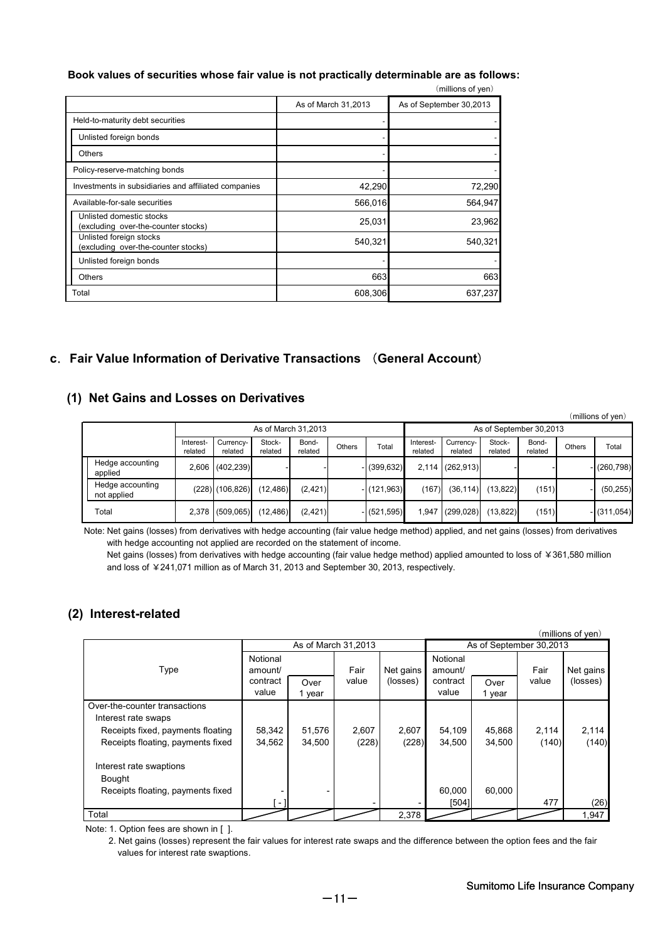#### **Book values of securities whose fair value is not practically determinable are as follows:**

|                                                                 |                     | (millions of yen)       |
|-----------------------------------------------------------------|---------------------|-------------------------|
|                                                                 | As of March 31,2013 | As of September 30,2013 |
| Held-to-maturity debt securities                                |                     |                         |
| Unlisted foreign bonds                                          |                     |                         |
| <b>Others</b>                                                   |                     |                         |
| Policy-reserve-matching bonds                                   |                     |                         |
| Investments in subsidiaries and affiliated companies            | 42,290              | 72,290                  |
| Available-for-sale securities                                   | 566,016             | 564,947                 |
| Unlisted domestic stocks<br>(excluding over-the-counter stocks) | 25,031              | 23,962                  |
| Unlisted foreign stocks<br>(excluding over-the-counter stocks)  | 540,321             | 540,321                 |
| Unlisted foreign bonds                                          |                     |                         |
| <b>Others</b>                                                   | 663                 | 663                     |
| Total                                                           | 608,306             | 637,237                 |

#### **c**.**Fair Value Information of Derivative Transactions** (**General Account**)

#### **(1) Net Gains and Losses on Derivatives**

|                     |                                 |                      |                      |                         |                  |        |                |                      |                      |                   |                  |               | (millions of yen) |
|---------------------|---------------------------------|----------------------|----------------------|-------------------------|------------------|--------|----------------|----------------------|----------------------|-------------------|------------------|---------------|-------------------|
| As of March 31.2013 |                                 |                      |                      | As of September 30,2013 |                  |        |                |                      |                      |                   |                  |               |                   |
|                     |                                 | Interest-<br>related | Currency-<br>related | Stock-<br>related       | Bond-<br>related | Others | Total          | Interest-<br>related | Currency-<br>related | Stock-<br>related | Bond-<br>related | <b>Others</b> | Total             |
|                     | Hedge accounting<br>applied     |                      | 2,606 (402,239)      |                         |                  |        | $-$ (399,632)  |                      | $2,114$ (262,913)    |                   |                  |               | $-$ (260,798)     |
|                     | Hedge accounting<br>not applied |                      | $(228)$ $(106, 826)$ | (12, 486)               | (2, 421)         |        | $-$ (121.963)  | (167)                | (36, 114)            | (13, 822)         | (151)            |               | (50, 255)         |
|                     | Total                           |                      | 2,378 (509,065)      | (12, 486)               | (2, 421)         |        | $- (521, 595)$ | 1.947                | (299, 028)           | (13, 822)         | (151)            |               | $-$ (311,054)     |

Note: Net gains (losses) from derivatives with hedge accounting (fair value hedge method) applied, and net gains (losses) from derivatives with hedge accounting not applied are recorded on the statement of income.

Net gains (losses) from derivatives with hedge accounting (fair value hedge method) applied amounted to loss of ¥361,580 million and loss of ¥241,071 million as of March 31, 2013 and September 30, 2013, respectively.

#### **(2) Interest-related**

|                                                      |                     |                     |       |           |                         |        |       | (millions of yen) |
|------------------------------------------------------|---------------------|---------------------|-------|-----------|-------------------------|--------|-------|-------------------|
|                                                      |                     | As of March 31,2013 |       |           | As of September 30,2013 |        |       |                   |
| Type                                                 | Notional<br>amount/ |                     | Fair  | Net gains | Notional<br>amount/     |        | Fair  | Net gains         |
|                                                      | contract            | Over                | value | (losses)  | contract                | Over   | value | (losses)          |
|                                                      | value               | 1 year              |       |           | value                   | 1 year |       |                   |
| Over-the-counter transactions<br>Interest rate swaps |                     |                     |       |           |                         |        |       |                   |
| Receipts fixed, payments floating                    | 58,342              | 51,576              | 2,607 | 2,607     | 54,109                  | 45,868 | 2,114 | 2,114             |
| Receipts floating, payments fixed                    | 34,562              | 34,500              | (228) | (228)     | 34,500                  | 34,500 | (140) | (140)             |
| Interest rate swaptions                              |                     |                     |       |           |                         |        |       |                   |
| Bought                                               |                     |                     |       |           |                         |        |       |                   |
| Receipts floating, payments fixed                    |                     |                     |       |           | 60.000                  | 60.000 |       |                   |
|                                                      | - 1                 |                     |       |           | [504]                   |        | 477   | (26)              |
| Total                                                |                     |                     |       | 2,378     |                         |        |       | 1,947             |

Note: 1. Option fees are shown in [ ].

 2. Net gains (losses) represent the fair values for interest rate swaps and the difference between the option fees and the fair values for interest rate swaptions. values for interest rate swaptions.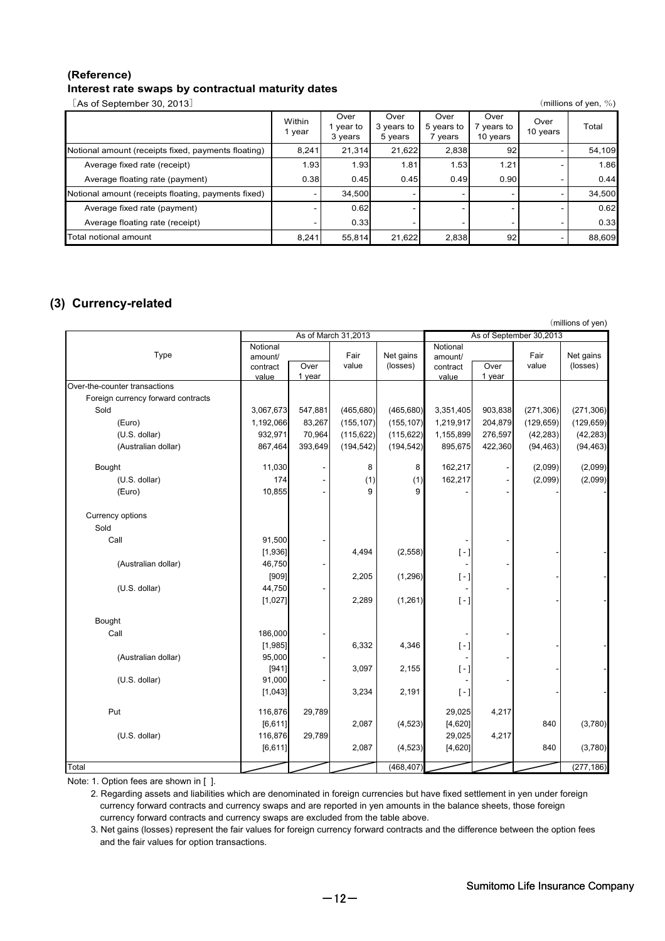#### **(Reference) Interest rate swaps by contractual maturity dates**

[As of September 30, 2013] (millions of yen, %)

|                                                     | Within<br>1 year | Over<br>year to<br>3 years | Over<br>3 years to<br>5 years | Over<br>5 years to<br>vears | Over<br>years to<br>10 years | Over<br>10 years | Total  |
|-----------------------------------------------------|------------------|----------------------------|-------------------------------|-----------------------------|------------------------------|------------------|--------|
| Notional amount (receipts fixed, payments floating) | 8.241            | 21.314                     | 21,622                        | 2,838                       | 92                           |                  | 54,109 |
| Average fixed rate (receipt)                        | 1.93             | 1.93                       | 1.81                          | 1.53                        | 1.21                         |                  | 1.86   |
| Average floating rate (payment)                     | 0.38             | 0.45                       | 0.45                          | 0.49                        | 0.90                         |                  | 0.44   |
| Notional amount (receipts floating, payments fixed) |                  | 34.500                     |                               |                             |                              |                  | 34,500 |
| Average fixed rate (payment)                        |                  | 0.62                       |                               |                             |                              |                  | 0.62   |
| Average floating rate (receipt)                     |                  | 0.33                       |                               |                             |                              |                  | 0.33   |
| Total notional amount                               | 8,241            | 55,814                     | 21.622                        | 2,838                       | 92                           |                  | 88,609 |

# **(3) Currency-related**

|                                    |                     |         |            |                         |                                                 |         |            | (millions of yen) |
|------------------------------------|---------------------|---------|------------|-------------------------|-------------------------------------------------|---------|------------|-------------------|
|                                    | As of March 31,2013 |         |            | As of September 30,2013 |                                                 |         |            |                   |
| Type                               | Notional<br>amount/ |         | Fair       | Net gains               | Notional<br>amount/                             |         | Fair       | Net gains         |
|                                    | contract            | Over    | value      | (losses)                | contract                                        | Over    | value      | (losses)          |
| Over-the-counter transactions      | value               | 1 year  |            |                         | value                                           | 1 year  |            |                   |
|                                    |                     |         |            |                         |                                                 |         |            |                   |
| Foreign currency forward contracts |                     |         |            |                         |                                                 |         |            |                   |
| Sold                               | 3,067,673           | 547,881 | (465, 680) | (465, 680)              | 3,351,405                                       | 903,838 | (271, 306) | (271, 306)        |
| (Euro)                             | 1,192,066           | 83,267  | (155, 107) | (155, 107)              | 1,219,917                                       | 204,879 | (129, 659) | (129, 659)        |
| (U.S. dollar)                      | 932,971             | 70,964  | (115, 622) | (115, 622)              | 1,155,899                                       | 276,597 | (42, 283)  | (42, 283)         |
| (Australian dollar)                | 867,464             | 393,649 | (194, 542) | (194, 542)              | 895,675                                         | 422,360 | (94, 463)  | (94, 463)         |
| Bought                             | 11,030              |         | 8          | 8                       | 162,217                                         |         | (2,099)    | (2,099)           |
| (U.S. dollar)                      | 174                 |         | (1)        | (1)                     | 162,217                                         |         | (2,099)    | (2,099)           |
| (Euro)                             | 10,855              |         | 9          | 9                       |                                                 |         |            |                   |
| Currency options                   |                     |         |            |                         |                                                 |         |            |                   |
| Sold                               |                     |         |            |                         |                                                 |         |            |                   |
| Call                               | 91,500              |         |            |                         |                                                 |         |            |                   |
|                                    | [1,936]             |         | 4,494      | (2, 558)                | $[-]$                                           |         |            |                   |
| (Australian dollar)                | 46,750              |         |            |                         |                                                 |         |            |                   |
|                                    | [909]               |         | 2,205      | (1, 296)                | $[-]$                                           |         |            |                   |
| (U.S. dollar)                      | 44,750              |         |            |                         |                                                 |         |            |                   |
|                                    | [1,027]             |         | 2,289      | (1, 261)                | $[ - ]$                                         |         |            |                   |
| Bought                             |                     |         |            |                         |                                                 |         |            |                   |
| Call                               | 186,000             |         |            |                         |                                                 |         |            |                   |
|                                    | [1,985]             |         | 6,332      | 4,346                   | $[-]$                                           |         |            |                   |
| (Australian dollar)                | 95,000              |         |            |                         |                                                 |         |            |                   |
|                                    | [941]               |         | 3,097      | 2,155                   | $\left[ \begin{array}{c} - \end{array} \right]$ |         |            |                   |
| (U.S. dollar)                      | 91,000              |         |            |                         |                                                 |         |            |                   |
|                                    | [1,043]             |         | 3,234      | 2,191                   | $[-]$                                           |         |            |                   |
| Put                                | 116,876             | 29,789  |            |                         | 29,025                                          | 4,217   |            |                   |
|                                    | [6, 611]            |         | 2,087      | (4, 523)                | [4,620]                                         |         | 840        | (3,780)           |
| (U.S. dollar)                      | 116,876             | 29,789  |            |                         | 29,025                                          | 4,217   |            |                   |
|                                    | [6, 611]            |         | 2,087      | (4, 523)                | [4,620]                                         |         | 840        | (3,780)           |
| Total                              |                     |         |            | (468, 407)              |                                                 |         |            | (277, 186)        |

Note: 1. Option fees are shown in [ ].

 2. Regarding assets and liabilities which are denominated in foreign currencies but have fixed settlement in yen under foreign currency forward contracts and currency swaps and are reported in yen amounts in the balance sheets, those foreign currency forward contracts and currency swaps are excluded from the table above.

 3. Net gains (losses) represent the fair values for foreign currency forward contracts and the difference between the option fees and the fair values for option transactions.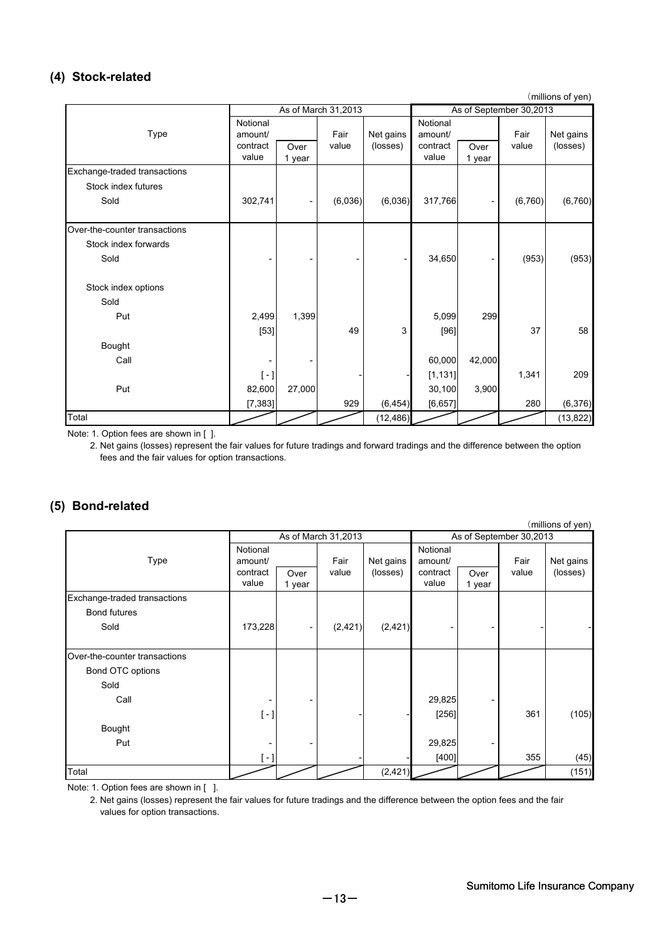### **(4) Stock-related**

(millions of yen)

|                               | As of March 31,2013                      |                |                   | As of September 30,2013 |                                          |                              |               |                       |
|-------------------------------|------------------------------------------|----------------|-------------------|-------------------------|------------------------------------------|------------------------------|---------------|-----------------------|
| Type                          | Notional<br>amount/<br>contract<br>value | Over<br>1 year | Fair<br>value     | Net gains<br>(losses)   | Notional<br>amount/<br>contract<br>value | Over<br>1 year               | Fair<br>value | Net gains<br>(losses) |
| Exchange-traded transactions  |                                          |                |                   |                         |                                          |                              |               |                       |
| Stock index futures           |                                          |                |                   |                         |                                          |                              |               |                       |
| Sold                          | 302,741                                  |                | (6,036)           | (6,036)                 | 317,766                                  | $\qquad \qquad \blacksquare$ | (6, 760)      | (6,760)               |
| Over-the-counter transactions |                                          |                |                   |                         |                                          |                              |               |                       |
| Stock index forwards          |                                          |                |                   |                         |                                          |                              |               |                       |
| Sold                          |                                          |                | $\qquad \qquad -$ |                         | 34,650                                   | $\qquad \qquad \blacksquare$ | (953)         | (953)                 |
| Stock index options           |                                          |                |                   |                         |                                          |                              |               |                       |
| Sold                          |                                          |                |                   |                         |                                          |                              |               |                       |
| Put                           | 2,499                                    | 1,399          |                   |                         | 5,099                                    | 299                          |               |                       |
|                               | $[53]$                                   |                | 49                | 3                       | $[96]$                                   |                              | 37            | 58                    |
| Bought                        |                                          |                |                   |                         |                                          |                              |               |                       |
| Call                          |                                          |                |                   |                         | 60,000                                   | 42,000                       |               |                       |
|                               | $[-]$                                    |                |                   |                         | [1, 131]                                 |                              | 1,341         | 209                   |
| Put                           | 82,600                                   | 27,000         |                   |                         | 30,100                                   | 3,900                        |               |                       |
|                               | [7, 383]                                 |                | 929               | (6, 454)                | [6, 657]                                 |                              | 280           | (6,376)               |
| Total                         |                                          |                |                   | (12, 486)               |                                          |                              |               | (13, 822)             |

Note: 1. Option fees are shown in [ ].

 2. Net gains (losses) represent the fair values for future tradings and forward tradings and the difference between the option fees and the fair values for option transactions.

#### **(5) Bond-related**

|                               |                     |                |          |                         |                     |                              |       | (millions of yen) |
|-------------------------------|---------------------|----------------|----------|-------------------------|---------------------|------------------------------|-------|-------------------|
|                               | As of March 31,2013 |                |          | As of September 30,2013 |                     |                              |       |                   |
| Type                          | Notional<br>amount/ |                | Fair     | Net gains               | Notional<br>amount/ |                              | Fair  | Net gains         |
|                               | contract<br>value   | Over<br>1 year | value    | (losses)                | contract<br>value   | Over<br>1 year               | value | (losses)          |
| Exchange-traded transactions  |                     |                |          |                         |                     |                              |       |                   |
| Bond futures                  |                     |                |          |                         |                     |                              |       |                   |
| Sold                          | 173,228             | -              | (2, 421) | (2, 421)                |                     |                              |       |                   |
|                               |                     |                |          |                         |                     |                              |       |                   |
| Over-the-counter transactions |                     |                |          |                         |                     |                              |       |                   |
| Bond OTC options              |                     |                |          |                         |                     |                              |       |                   |
| Sold                          |                     |                |          |                         |                     |                              |       |                   |
| Call                          |                     | -              |          |                         | 29,825              | $\qquad \qquad \blacksquare$ |       |                   |
|                               | $[-]$               |                |          |                         | $[256]$             |                              | 361   | (105)             |
| Bought                        |                     |                |          |                         |                     |                              |       |                   |
| Put                           |                     |                |          |                         | 29,825              | $\qquad \qquad \blacksquare$ |       |                   |
|                               | $[-]$               |                |          |                         | [400]               |                              | 355   | (45)              |
| Total                         |                     |                |          | (2, 421)                |                     |                              |       | (151)             |

Note: 1. Option fees are shown in [ ].

 2. Net gains (losses) represent the fair values for future tradings and the difference between the option fees and the fair values for option transactions.